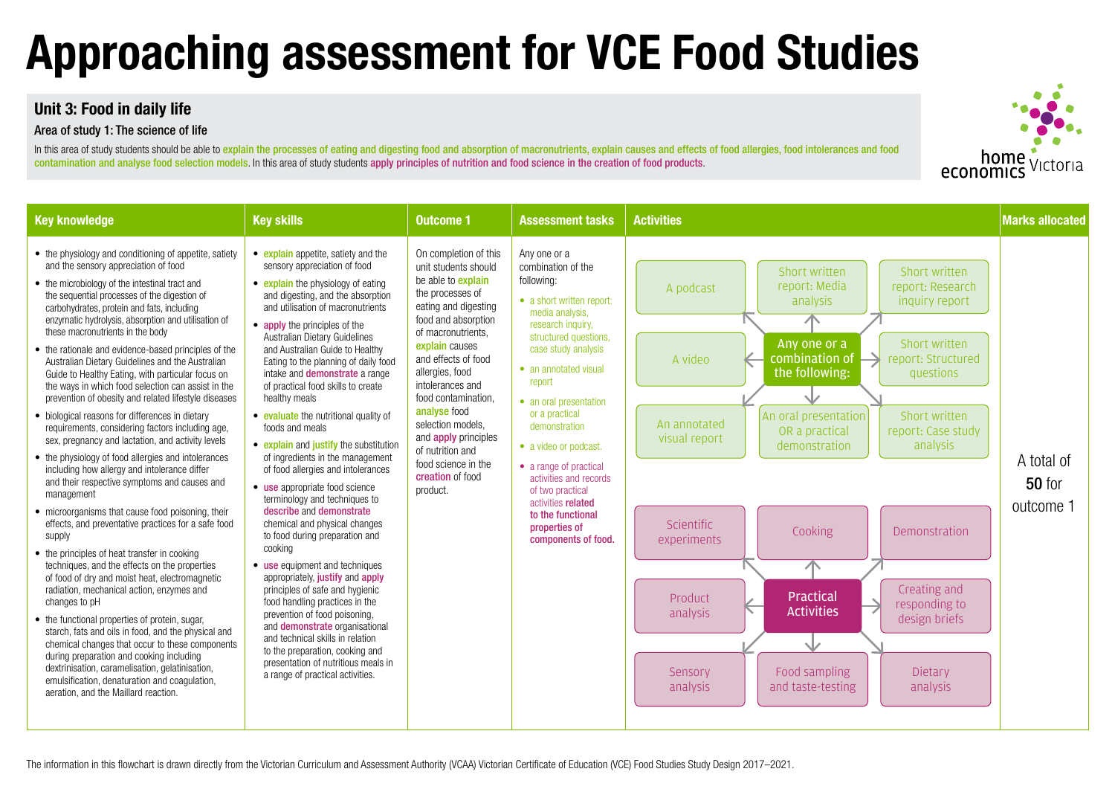## **Unit 3: Food in daily life**

### Area of study 1: The science of life

In this area of study students should be able to explain the processes of eating and digesting food and absorption of macronutrients, explain causes and effects of food allergies, food intolerances and food contamination and analyse food selection models. In this area of study students apply principles of nutrition and food science in the creation of food products.

## **Approaching assessment for VCE Food Studies**

| <b>Key knowledge</b>                                                                                                                                                                                                                                                                                                                                                                                                                                                                                                                                                                                                                                                                                                                                                                                                                                                                                                                                                                                                                                                                                                                                                                                                                                                                                                                                                                                                                                                                                                                                                                                                                                 | <b>Key skills</b>                                                                                                                                                                                                                                                                                                                                                                                                                                                                                                                                                                                                                                                                                                                                                                                                                                                                                                                                                                                                                                                                                                                                             | <b>Outcome 1</b>                                                                                                                                                                                                                                                                                                                                                                                                          | <b>Assessment tasks</b>                                                                                                                                                                                                                                                                                                                                                                                                                                   | <b>Activities</b>                                                                                                                                                                                                                                                                                                                                                                                                                                                                                                                                                                                                                                              | <b>Marks allocated</b>                   |
|------------------------------------------------------------------------------------------------------------------------------------------------------------------------------------------------------------------------------------------------------------------------------------------------------------------------------------------------------------------------------------------------------------------------------------------------------------------------------------------------------------------------------------------------------------------------------------------------------------------------------------------------------------------------------------------------------------------------------------------------------------------------------------------------------------------------------------------------------------------------------------------------------------------------------------------------------------------------------------------------------------------------------------------------------------------------------------------------------------------------------------------------------------------------------------------------------------------------------------------------------------------------------------------------------------------------------------------------------------------------------------------------------------------------------------------------------------------------------------------------------------------------------------------------------------------------------------------------------------------------------------------------------|---------------------------------------------------------------------------------------------------------------------------------------------------------------------------------------------------------------------------------------------------------------------------------------------------------------------------------------------------------------------------------------------------------------------------------------------------------------------------------------------------------------------------------------------------------------------------------------------------------------------------------------------------------------------------------------------------------------------------------------------------------------------------------------------------------------------------------------------------------------------------------------------------------------------------------------------------------------------------------------------------------------------------------------------------------------------------------------------------------------------------------------------------------------|---------------------------------------------------------------------------------------------------------------------------------------------------------------------------------------------------------------------------------------------------------------------------------------------------------------------------------------------------------------------------------------------------------------------------|-----------------------------------------------------------------------------------------------------------------------------------------------------------------------------------------------------------------------------------------------------------------------------------------------------------------------------------------------------------------------------------------------------------------------------------------------------------|----------------------------------------------------------------------------------------------------------------------------------------------------------------------------------------------------------------------------------------------------------------------------------------------------------------------------------------------------------------------------------------------------------------------------------------------------------------------------------------------------------------------------------------------------------------------------------------------------------------------------------------------------------------|------------------------------------------|
| • the physiology and conditioning of appetite, satiety<br>and the sensory appreciation of food<br>• the microbiology of the intestinal tract and<br>the sequential processes of the digestion of<br>carbohydrates, protein and fats, including<br>enzymatic hydrolysis, absorption and utilisation of<br>these macronutrients in the body<br>• the rationale and evidence-based principles of the<br>Australian Dietary Guidelines and the Australian<br>Guide to Healthy Eating, with particular focus on<br>the ways in which food selection can assist in the<br>prevention of obesity and related lifestyle diseases<br>• biological reasons for differences in dietary<br>requirements, considering factors including age,<br>sex, pregnancy and lactation, and activity levels<br>• the physiology of food allergies and intolerances<br>including how allergy and intolerance differ<br>and their respective symptoms and causes and<br>management<br>• microorganisms that cause food poisoning, their<br>effects, and preventative practices for a safe food<br>supply<br>• the principles of heat transfer in cooking<br>techniques, and the effects on the properties<br>of food of dry and moist heat, electromagnetic<br>radiation, mechanical action, enzymes and<br>changes to pH<br>• the functional properties of protein, sugar,<br>starch, fats and oils in food, and the physical and<br>chemical changes that occur to these components<br>during preparation and cooking including<br>dextrinisation, caramelisation, gelatinisation,<br>emulsification, denaturation and coagulation,<br>aeration, and the Maillard reaction. | • explain appetite, satiety and the<br>sensory appreciation of food<br>• explain the physiology of eating<br>and digesting, and the absorption<br>and utilisation of macronutrients<br>• apply the principles of the<br>Australian Dietary Guidelines<br>and Australian Guide to Healthy<br>Eating to the planning of daily food<br>intake and <b>demonstrate</b> a range<br>of practical food skills to create<br>healthy meals<br>• evaluate the nutritional quality of<br>foods and meals<br>• explain and justify the substitution<br>of ingredients in the management<br>of food allergies and intolerances<br>• use appropriate food science<br>terminology and techniques to<br>describe and demonstrate<br>chemical and physical changes<br>to food during preparation and<br>cooking<br>• use equipment and techniques<br>appropriately, justify and apply<br>principles of safe and hygienic<br>food handling practices in the<br>prevention of food poisoning.<br>and demonstrate organisational<br>and technical skills in relation<br>to the preparation, cooking and<br>presentation of nutritious meals in<br>a range of practical activities. | On completion of this<br>unit students should<br>be able to <b>explain</b><br>the processes of<br>eating and digesting<br>food and absorption<br>of macronutrients.<br>explain causes<br>and effects of food<br>allergies, food<br>intolerances and<br>food contamination,<br>analyse food<br>selection models,<br>and <b>apply</b> principles<br>of nutrition and<br>food science in the<br>creation of food<br>product. | Any one or a<br>combination of the<br>following:<br>• a short written report:<br>media analysis,<br>research inquiry,<br>structured questions,<br>case study analysis<br>• an annotated visual<br>report<br>• an oral presentation<br>or a practical<br>demonstration<br>• a video or podcast.<br>• a range of practical<br>activities and records<br>of two practical<br>activities related<br>to the functional<br>properties of<br>components of food. | Short written<br>Short written<br>report: Media<br>report: Research<br>A podcast<br>analysis<br>inquiry report<br>个<br>Short written<br>Any one or a<br>combination of<br>report: Structured<br>A video<br>the following:<br>questions<br>An oral presentation<br>Short written<br>An annotated<br>OR a practical<br>report: Case study<br>visual report<br>demonstration<br>analysis<br>Scientific<br>Cooking<br>Demonstration<br>experiments<br>个<br>Creating and<br><b>Practical</b><br>Product<br>responding to<br><b>Activities</b><br>analysis<br>design briefs<br>V<br>Food sampling<br>Dietary<br>Sensory<br>analysis<br>analysis<br>and taste-testing | A total of<br><b>50 for</b><br>outcome 1 |